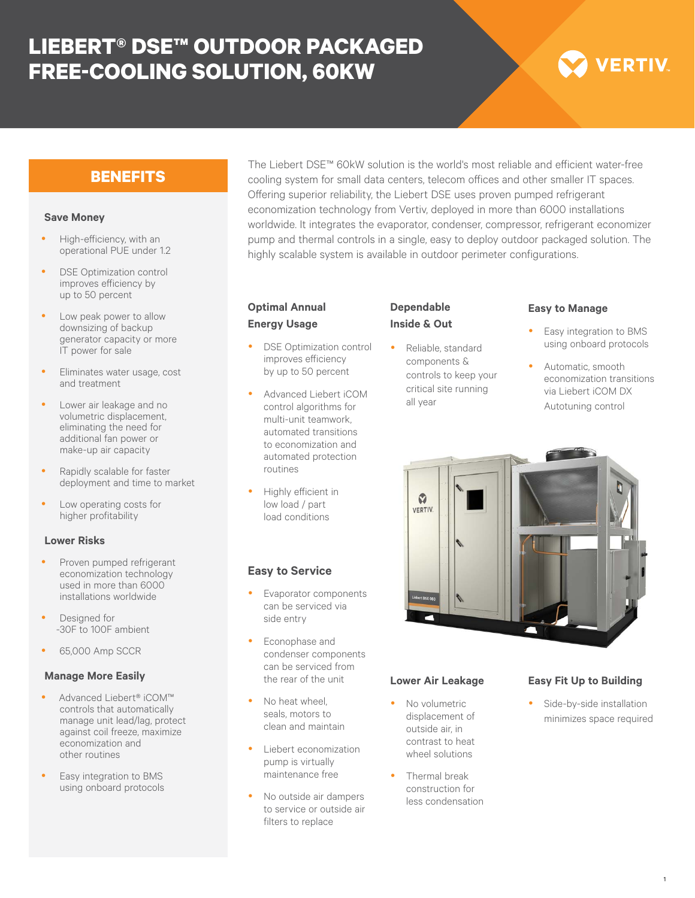# **LIEBERT® DSE™ OUTDOOR PACKAGED FREE-COOLING SOLUTION, 60KW**

# **VERTIV**

# **BENEFITS**

#### **Save Money**

- High-efficiency, with an operational PUE under 1.2
- DSE Optimization control improves efficiency by up to 50 percent
- Low peak power to allow downsizing of backup generator capacity or more IT power for sale
- Eliminates water usage, cost and treatment
- Lower air leakage and no volumetric displacement, eliminating the need for additional fan power or make-up air capacity
- Rapidly scalable for faster deployment and time to market
- Low operating costs for higher profitability

#### **Lower Risks**

- Proven pumped refrigerant economization technology used in more than 6000 installations worldwide
- Designed for -30F to 100F ambient
- 65,000 Amp SCCR

#### **Manage More Easily**

- y Advanced Liebert® iCOM™ controls that automatically manage unit lead/lag, protect against coil freeze, maximize economization and other routines
- Easy integration to BMS using onboard protocols

The Liebert DSE™ 60kW solution is the world's most reliable and efficient water-free cooling system for small data centers, telecom offices and other smaller IT spaces. Offering superior reliability, the Liebert DSE uses proven pumped refrigerant economization technology from Vertiv, deployed in more than 6000 installations worldwide. It integrates the evaporator, condenser, compressor, refrigerant economizer pump and thermal controls in a single, easy to deploy outdoor packaged solution. The highly scalable system is available in outdoor perimeter configurations.

## **Optimal Annual Energy Usage**

- DSE Optimization control improves efficiency by up to 50 percent
- Advanced Liebert iCOM control algorithms for multi-unit teamwork, automated transitions to economization and automated protection routines
- Highly efficient in low load / part load conditions

**Easy to Service**

side entry

Econophase and condenser components can be serviced from the rear of the unit

No heat wheel seals, motors to clean and maintain Liebert economization pump is virtually maintenance free

No outside air dampers to service or outside air filters to replace

Evaporator components can be serviced via

# **Dependable Inside & Out**

Reliable, standard components & controls to keep your critical site running all year

# **Easy to Manage**

- Easy integration to BMS using onboard protocols
- Automatic, smooth economization transitions via Liebert iCOM DX Autotuning control



# **Lower Air Leakage**

- No volumetric displacement of outside air, in contrast to heat wheel solutions
- Thermal break construction for less condensation

## **Easy Fit Up to Building**

Side-by-side installation minimizes space required